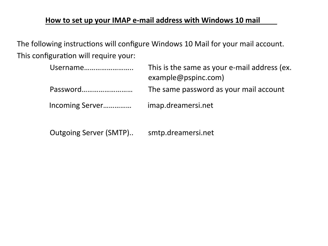## **How to set up your IMAP e-mail address with Windows 10 mail**

The following instructions will configure Windows 10 Mail for your mail account. This configuration will require your:

| Username        | This is the same as your e-mail address (ex.<br>example@pspinc.com) |
|-----------------|---------------------------------------------------------------------|
| Password        | The same password as your mail account                              |
| Incoming Server | imap.dreamersi.net                                                  |

Outgoing Server (SMTP).. smtp.dreamersi.net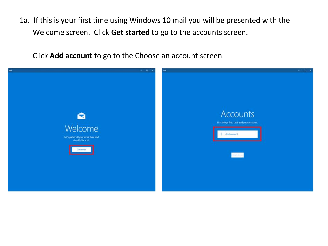1a. If this is your frst tme using Windows 10 mail you will be presented with the Welcome screen. Click **Get started** to go to the accounts screen.

Click **Add account** to go to the Choose an account screen.

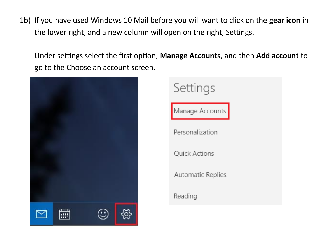1b) If you have used Windows 10 Mail before you will want to click on the **gear icon** in the lower right, and a new column will open on the right, Settings.

Under settings select the first option, Manage Accounts, and then Add account to go to the Choose an account screen.



Settings Manage Accounts Personalization Quick Actions Automatic Replies Reading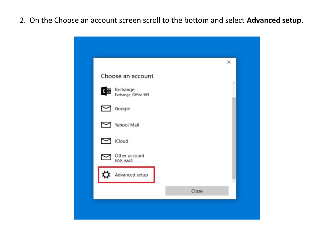2. On the Choose an account screen scroll to the bottom and select Advanced setup.

|                                      |       | × |
|--------------------------------------|-------|---|
| Choose an account                    |       |   |
| E & Exchange<br>Exchange, Office 365 |       |   |
| $\sim$ Google                        |       |   |
| Yahoo! Mail                          |       |   |
| iCloud                               |       |   |
| Other account<br>POP, IMAP           |       |   |
| Advanced setup                       |       |   |
|                                      | Close |   |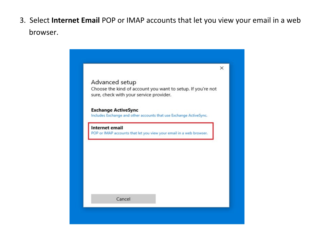3. Select **Internet Email** POP or IMAP accounts that let you view your email in a web browser.

|                                                                                                                          | $\times$ |
|--------------------------------------------------------------------------------------------------------------------------|----------|
| Advanced setup<br>Choose the kind of account you want to setup. If you're not<br>sure, check with your service provider. |          |
| <b>Exchange ActiveSync</b><br>Includes Exchange and other accounts that use Exchange ActiveSync.                         |          |
| Internet email<br>POP or IMAP accounts that let you view your email in a web browser.                                    |          |
|                                                                                                                          |          |
|                                                                                                                          |          |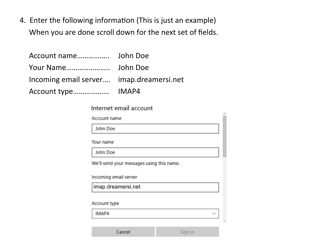4. Enter the following information (This is just an example) When you are done scroll down for the next set of fields.

| Incoming email server imap.dreamersi.net |  |
|------------------------------------------|--|
|                                          |  |

| Internet email account                                                                      |  |
|---------------------------------------------------------------------------------------------|--|
| Account name                                                                                |  |
| John Doe                                                                                    |  |
| Your name                                                                                   |  |
| John Doe                                                                                    |  |
|                                                                                             |  |
| imap.dreamersi.net                                                                          |  |
|                                                                                             |  |
| We'll send your messages using this name.<br>Incoming email server<br>Account type<br>IMAP4 |  |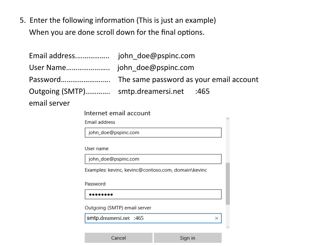5. Enter the following informaton (This is just an example) When you are done scroll down for the final options.

Cancel

| Email address                      | john doe@pspinc.com                                 |   |
|------------------------------------|-----------------------------------------------------|---|
| User Name                          | john doe@pspinc.com                                 |   |
| Password                           | The same password as your email account             |   |
| Outgoing (SMTP) smtp.dreamersi.net | :465                                                |   |
| email server                       |                                                     |   |
|                                    | Internet email account                              |   |
| Email address                      |                                                     |   |
|                                    | john_doe@pspinc.com                                 |   |
|                                    |                                                     |   |
| User name                          |                                                     |   |
|                                    | john_doe@pspinc.com                                 |   |
|                                    | Examples: kevinc, kevinc@contoso.com, domain\kevinc |   |
| Password                           |                                                     |   |
|                                    |                                                     |   |
|                                    |                                                     |   |
|                                    | Outgoing (SMTP) email server                        |   |
|                                    | smtp.dreamersi.net :465                             | × |
|                                    |                                                     |   |

Sign in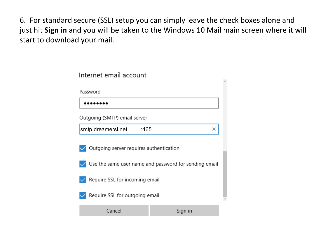6. For standard secure (SSL) setup you can simply leave the check boxes alone and just hit **Sign in** and you will be taken to the Windows 10 Mail main screen where it will start to download your mail.

| Internet email account                                |         |  |  |
|-------------------------------------------------------|---------|--|--|
| Password                                              |         |  |  |
|                                                       |         |  |  |
| Outgoing (SMTP) email server                          |         |  |  |
| smtp.dreamersi.net<br>:465                            | ×       |  |  |
| Outgoing server requires authentication               |         |  |  |
| Use the same user name and password for sending email |         |  |  |
| Require SSL for incoming email                        |         |  |  |
| Require SSL for outgoing email                        |         |  |  |
| Cancel                                                | Sign in |  |  |